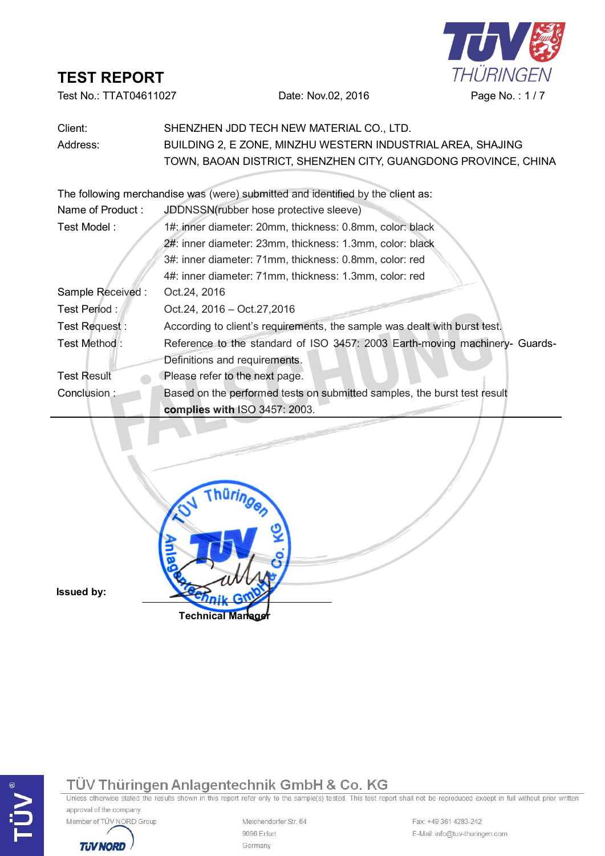

Test No.: TTAT04611027 Date: Nov.02, 2016 Page No.: 1/7

| Client:            | SHENZHEN JDD TECH NEW MATERIAL CO., LTD.                                        |  |  |  |
|--------------------|---------------------------------------------------------------------------------|--|--|--|
| Address:           | BUILDING 2, E ZONE, MINZHU WESTERN INDUSTRIAL AREA, SHAJING                     |  |  |  |
|                    | TOWN, BAOAN DISTRICT, SHENZHEN CITY, GUANGDONG PROVINCE, CHINA                  |  |  |  |
|                    |                                                                                 |  |  |  |
|                    | The following merchandise was (were) submitted and identified by the client as: |  |  |  |
| Name of Product:   | JDDNSSN(rubber hose protective sleeve)                                          |  |  |  |
| Test Model:        | 1#: inner diameter: 20mm, thickness: 0.8mm, color: black                        |  |  |  |
|                    | 2#: inner diameter: 23mm, thickness: 1.3mm, color: black                        |  |  |  |
|                    | 3#: inner diameter: 71mm, thickness: 0.8mm, color: red                          |  |  |  |
|                    | 4#: inner diameter: 71mm, thickness: 1.3mm, color: red                          |  |  |  |
| Sample Received:   | Oct.24, 2016                                                                    |  |  |  |
| Test Period:       | Oct.24, 2016 - Oct.27,2016                                                      |  |  |  |
| Test Request:      | According to client's requirements, the sample was dealt with burst test.       |  |  |  |
| Test Method:       | Reference to the standard of ISO 3457: 2003 Earth-moving machinery- Guards-     |  |  |  |
|                    | Definitions and requirements.                                                   |  |  |  |
| <b>Test Result</b> | Please refer to the next page.                                                  |  |  |  |
| Conclusion:        | Based on the performed tests on submitted samples, the burst test result        |  |  |  |
|                    | complies with ISO 3457: 2003.                                                   |  |  |  |
|                    |                                                                                 |  |  |  |
|                    |                                                                                 |  |  |  |

**Issued by:**



**Technical Manager**

approval of the company.



Melchendorfer Str. 64 9096 Erfurt Germany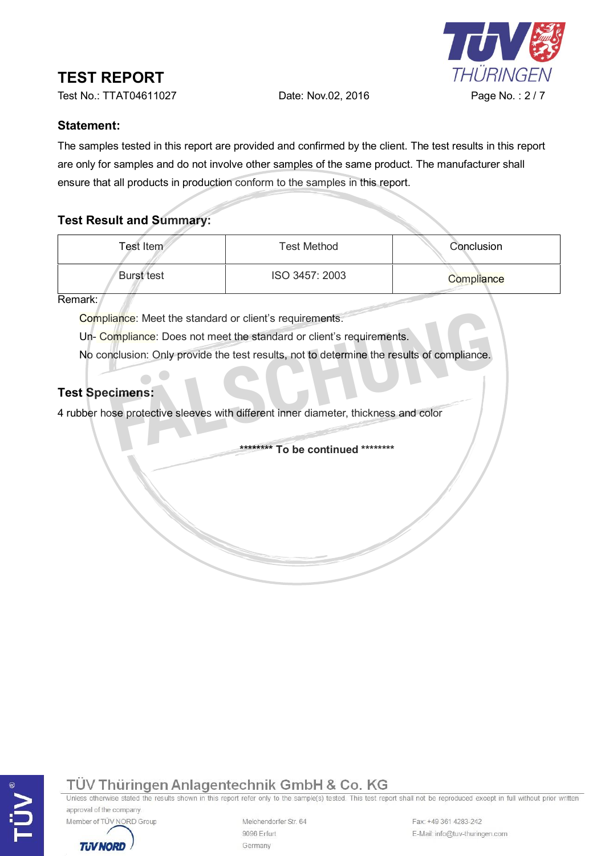

Test No.: TTAT04611027 Date: Nov.02, 2016 Page No. : 2 / 7

#### **Statement:**

The samples tested in this report are provided and confirmed by the client. The test results in this report are only for samples and do not involve other samples of the same product. The manufacturer shall ensure that all products in production conform to the samples in this report.

## **Test Result and Summary:**

| Test Item         | <b>Test Method</b> | Conclusion |
|-------------------|--------------------|------------|
| <b>Burst test</b> | ISO 3457: 2003     | Compliance |

Remark:

Compliance: Meet the standard or client's requirements.

Un- Compliance: Does not meet the standard or client's requirements.

No conclusion: Only provide the test results, not to determine the results of compliance. Fortective sleeves with different inner diameter, thickness and color **FALSCHUNG FALSCHUNG FACTS FACTS Specimens:** A rubber hose protective sleeves with different inner diameter, thickness and color **\*\*\*\*\*\*\*\*\*** To

#### **Test Specimens:**

## TÜV Thüringen Anlagentechnik GmbH & Co. KG

Unless otherwise stated the results shown in this report refer only to the sample(s) tested. This test report shall not be reproduced except in full without prior written approval of the company.



**TUV NORD** 

Melchendorfer Str. 64 9096 Erfurt Germany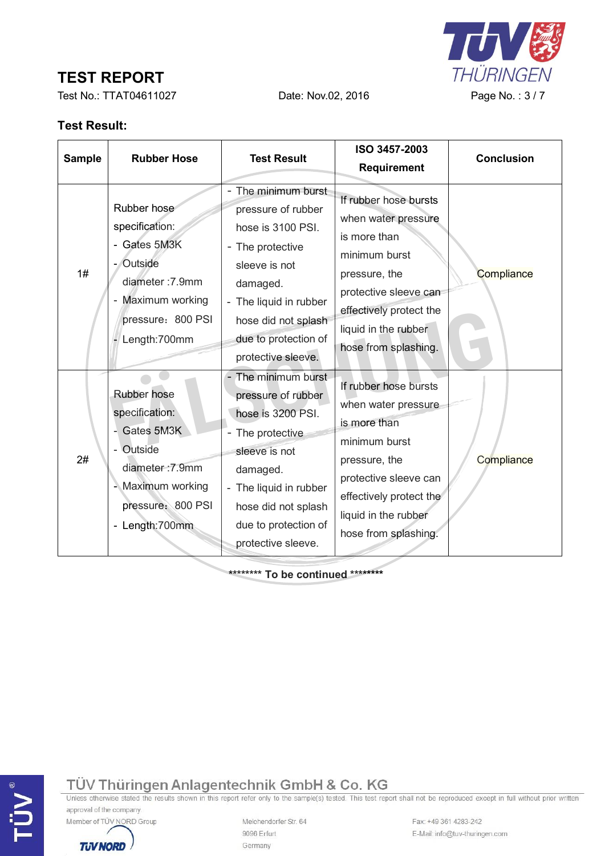Test No.: TTAT04611027 Date: Nov.02, 2016 Page No.: 3/7

THÜRINGEN

 $\mathbf{T}$ 

## **Test Result:**

| <b>Sample</b> | <b>Rubber Hose</b>                                                                                                                       | <b>Test Result</b>                                                                                                                                                                                           | ISO 3457-2003                                                                                                                                                                                      | <b>Conclusion</b> |  |
|---------------|------------------------------------------------------------------------------------------------------------------------------------------|--------------------------------------------------------------------------------------------------------------------------------------------------------------------------------------------------------------|----------------------------------------------------------------------------------------------------------------------------------------------------------------------------------------------------|-------------------|--|
|               |                                                                                                                                          |                                                                                                                                                                                                              | <b>Requirement</b>                                                                                                                                                                                 |                   |  |
| 1#            | Rubber hose<br>specification:<br>- Gates 5M3K<br>- Outside<br>diameter: 7.9mm<br>Maximum working<br>pressure: 800 PSI<br>Length: 700mm   | The minimum burst<br>pressure of rubber<br>hose is 3100 PSI.<br>- The protective<br>sleeve is not<br>damaged.<br>- The liquid in rubber<br>hose did not splash<br>due to protection of<br>protective sleeve. | If rubber hose bursts<br>when water pressure<br>is more than<br>minimum burst<br>pressure, the<br>protective sleeve can<br>effectively protect the<br>liquid in the rubber<br>hose from splashing. | Compliance        |  |
| 2#            | Rubber hose<br>specification:<br>- Gates 5M3K<br>- Outside<br>diameter: 7.9mm<br>Maximum working<br>pressure: 800 PSI<br>- Length: 700mm | - The minimum burst<br>pressure of rubber<br>hose is 3200 PSI.<br>The protective<br>sleeve is not<br>damaged.<br>- The liquid in rubber<br>hose did not splash<br>due to protection of<br>protective sleeve. | If rubber hose bursts<br>when water pressure<br>is more than<br>minimum burst<br>pressure, the<br>protective sleeve can<br>effectively protect the<br>liquid in the rubber<br>hose from splashing. | Compliance        |  |

**\*\*\*\*\*\*\*\* To be continued \*\*\*\*\*\*\*\***

TÜV Thüringen Anlagentechnik GmbH & Co. KG

Unless otherwise stated the results shown in this report refer only to the sample(s) tested. This test report shall not be reproduced except in full without prior written approval of the company.

Member of TÜV NORD Group

**TUV NORD** 

Melchendorfer Str. 64 9096 Erfurt Germany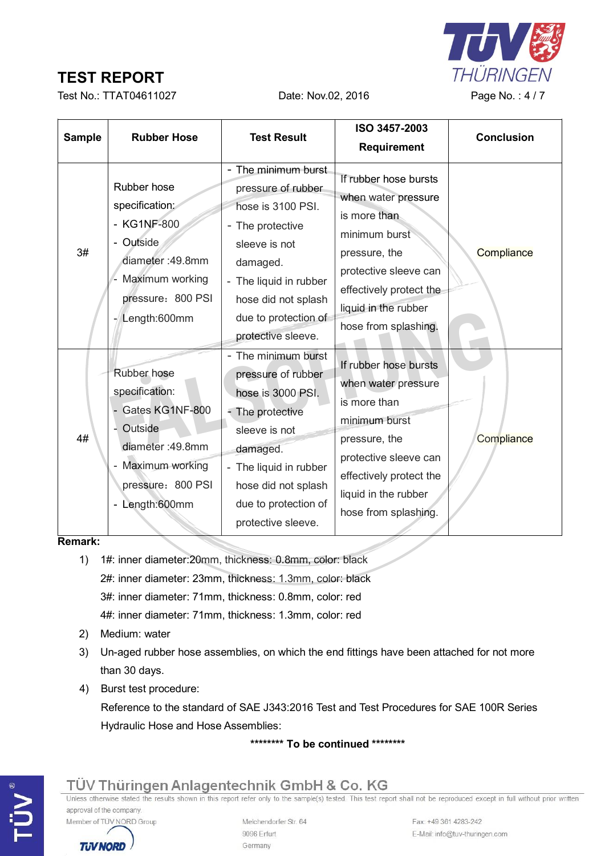

Test No.: TTAT04611027 Date: Nov.02, 2016 Page No.: 4/7

| <b>Sample</b> | <b>Rubber Hose</b>                                                                                                                              | <b>Test Result</b>                                                                                                                                                                                             | ISO 3457-2003<br><b>Requirement</b>                                                                                                                                                                | <b>Conclusion</b> |
|---------------|-------------------------------------------------------------------------------------------------------------------------------------------------|----------------------------------------------------------------------------------------------------------------------------------------------------------------------------------------------------------------|----------------------------------------------------------------------------------------------------------------------------------------------------------------------------------------------------|-------------------|
| 3#            | Rubber hose<br>specification:<br>- KG1NF-800<br>- Outside<br>diameter: 49.8mm<br>Maximum working<br>pressure: 800 PSI<br>Length:600mm           | - The minimum burst<br>pressure of rubber<br>hose is 3100 PSI.<br>- The protective<br>sleeve is not<br>damaged.<br>- The liquid in rubber<br>hose did not splash<br>due to protection of<br>protective sleeve. | If rubber hose bursts<br>when water pressure<br>is more than<br>minimum burst<br>pressure, the<br>protective sleeve can<br>effectively protect the<br>liquid in the rubber<br>hose from splashing. | Compliance        |
| 4#            | Rubber hose<br>specification:<br>- Gates KG1NF-800<br>- Outside<br>diameter: 49.8mm<br>- Maximum working<br>pressure: 800 PSI<br>- Length:600mm | - The minimum burst<br>pressure of rubber<br>hose is 3000 PSI.<br>- The protective<br>sleeve is not<br>damaged.<br>- The liquid in rubber<br>hose did not splash<br>due to protection of<br>protective sleeve. | If rubber hose bursts<br>when water pressure<br>is more than<br>minimum burst<br>pressure, the<br>protective sleeve can<br>effectively protect the<br>liquid in the rubber<br>hose from splashing. | Compliance        |

#### **Remark:**

- 1) 1#: inner diameter:20mm, thickness: 0.8mm, color: black 2#: inner diameter: 23mm, thickness: 1.3mm, color: black 3#: inner diameter: 71mm, thickness: 0.8mm, color: red 4#: inner diameter: 71mm, thickness: 1.3mm, color: red
- 2) Medium: water

**TUV NORD** 

- 3) Un-aged rubber hose assemblies, on which the end fittings have been attached for not more than 30 days.
- 4) Burst test procedure:

Reference to the standard of SAE J343:2016 Test and Test Procedures for SAE 100R Series Hydraulic Hose and Hose Assemblies:

**\*\*\*\*\*\*\*\* To be continued \*\*\*\*\*\*\*\***

#### TÜV Thüringen Anlagentechnik GmbH & Co. KG Unless otherwise stated the results shown in this report refer only to the sample(s) tested. This test report shall not be reproduced except in full without prior written approval of the company. Member of TÜV NORD Group Melchendorfer Str. 64 9096 Erfurt

Germany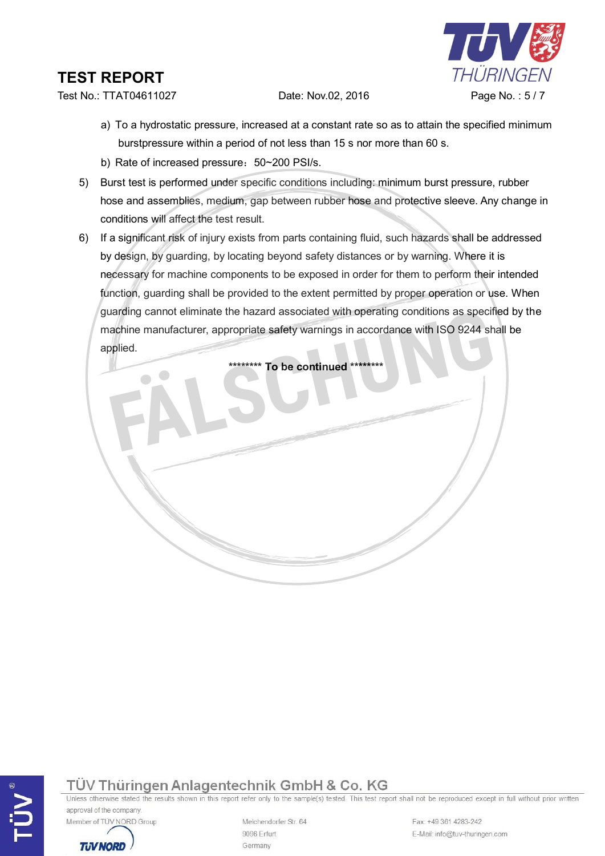

Test No.: TTAT04611027 Date: Nov.02, 2016 Page No.: 5/7

- a) To a hydrostatic pressure, increased at a constant rate so as to attain the specified minimum burstpressure within a period of not less than 15 s nor more than 60 s.
- b) Rate of increased pressure: 50~200 PSI/s.
- 5) Burst test is performed under specific conditions including: minimum burst pressure, rubber hose and assemblies, medium, gap between rubber hose and protective sleeve. Any change in conditions will affect the test result.
- 6) If a significant risk of injury exists from parts containing fluid, such hazards shall be addressed by design, by guarding, by locating beyond safety distances or by warning. Where it is necessary for machine components to be exposed in order for them to perform their intended function, guarding shall be provided to the extent permitted by proper operation or use. When guarding cannot eliminate the hazard associated with operating conditions as specified by the machine manufacturer, appropriate safety warnings in accordance with ISO 9244 shall be applied. **\*\*\*\*\*\*\*\* To be continued \*\*\*\*\*\*\*\* FÄLSCHUNG**



Unless otherwise stated the results shown in this report refer only to the sample(s) tested. This test report shall not be reproduced except in full without prior written approval of the company.



**TUV NORD** 

Melchendorfer Str. 64 9096 Erfurt Germany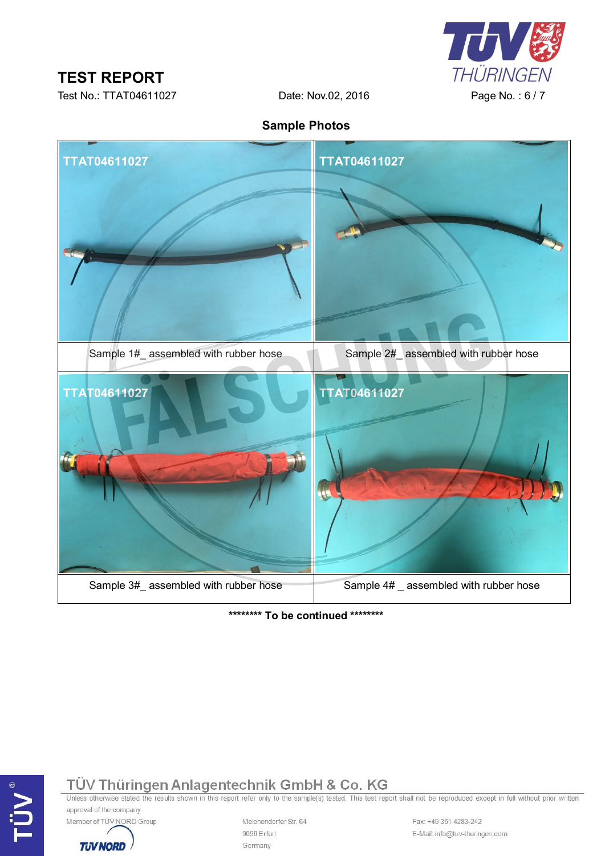

Test No.: TTAT04611027 Date: Nov.02, 2016 Page No.: 6/7

**Sample Photos**



**\*\*\*\*\*\*\*\* To be continued \*\*\*\*\*\*\*\***

TÜV Thüringen Anlagentechnik GmbH & Co. KG<br>Unless otherwise stated the results shown in this report refer only to the sample(s) tested. This test report shall not be reproduced except in full without prior written approval of the company.



**TUV NORD** 

Melchendorfer Str. 64 9096 Erfurt Germany